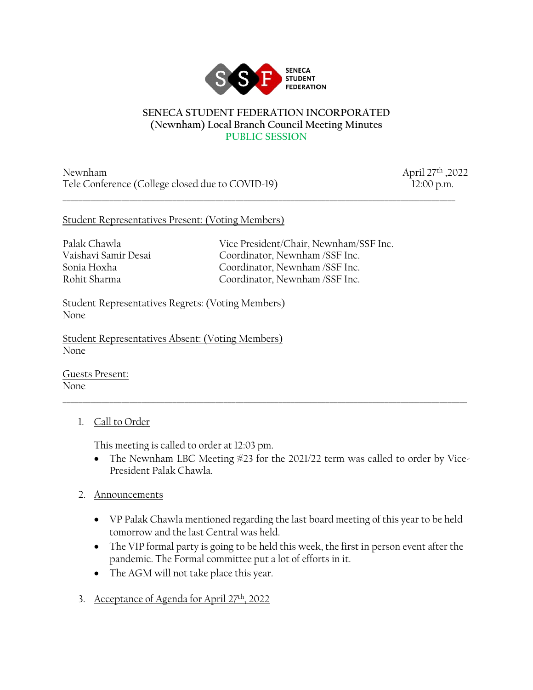

## **SENECA STUDENT FEDERATION INCORPORATED (Newnham) Local Branch Council Meeting Minutes PUBLIC SESSION**

\_\_\_\_\_\_\_\_\_\_\_\_\_\_\_\_\_\_\_\_\_\_\_\_\_\_\_\_\_\_\_\_\_\_\_\_\_\_\_\_\_\_\_\_\_\_\_\_\_\_\_\_\_\_\_\_\_\_\_\_\_\_\_\_\_\_\_\_\_\_\_\_\_\_\_\_\_\_\_\_\_\_\_\_\_\_\_\_\_\_\_\_\_\_\_\_\_\_\_\_

Newnham April 27th ,2022 Tele Conference (College closed due to COVID-19) 12:00 p.m.

## Student Representatives Present: (Voting Members)

Palak Chawla Vice President/Chair, Newnham/SSF Inc. Vaishavi Samir Desai Coordinator, Newnham /SSF Inc. Sonia Hoxha Coordinator, Newnham /SSF Inc. Rohit Sharma Coordinator, Newnham /SSF Inc.

Student Representatives Regrets: (Voting Members) None

Student Representatives Absent: (Voting Members) None

Guests Present: None

## 1. Call to Order

This meeting is called to order at 12:03 pm.

• The Newnham LBC Meeting #23 for the 2021/22 term was called to order by Vice-President Palak Chawla.

 $\_$  ,  $\_$  ,  $\_$  ,  $\_$  ,  $\_$  ,  $\_$  ,  $\_$  ,  $\_$  ,  $\_$  ,  $\_$  ,  $\_$  ,  $\_$  ,  $\_$  ,  $\_$  ,  $\_$  ,  $\_$  ,  $\_$  ,  $\_$  ,  $\_$  ,  $\_$  ,  $\_$  ,  $\_$  ,  $\_$  ,  $\_$  ,  $\_$  ,  $\_$  ,  $\_$  ,  $\_$  ,  $\_$  ,  $\_$  ,  $\_$  ,  $\_$  ,  $\_$  ,  $\_$  ,  $\_$  ,  $\_$  ,  $\_$  ,

- 2. Announcements
	- VP Palak Chawla mentioned regarding the last board meeting of this year to be held tomorrow and the last Central was held.
	- The VIP formal party is going to be held this week, the first in person event after the pandemic. The Formal committee put a lot of efforts in it.
	- The AGM will not take place this year.
- 3. Acceptance of Agenda for April 27th, 2022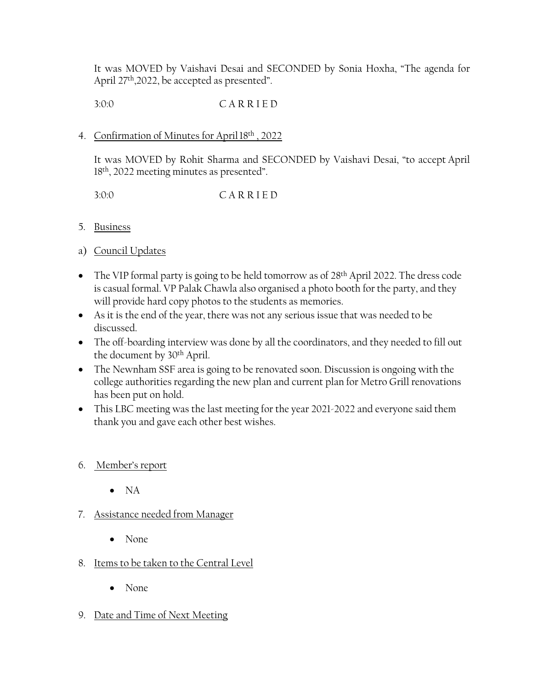It was MOVED by Vaishavi Desai and SECONDED by Sonia Hoxha, "The agenda for April 27<sup>th</sup>,2022, be accepted as presented".

3:0:0 C A R R I E D

## 4. Confirmation of Minutes for April 18th, 2022

It was MOVED by Rohit Sharma and SECONDED by Vaishavi Desai, "to accept April 18th, 2022 meeting minutes as presented".

3:0:0 C A R R I E D

- 5. Business
- a) Council Updates
- The VIP formal party is going to be held tomorrow as of 28<sup>th</sup> April 2022. The dress code is casual formal. VP Palak Chawla also organised a photo booth for the party, and they will provide hard copy photos to the students as memories.
- As it is the end of the year, there was not any serious issue that was needed to be discussed.
- The off-boarding interview was done by all the coordinators, and they needed to fill out the document by 30th April.
- The Newnham SSF area is going to be renovated soon. Discussion is ongoing with the college authorities regarding the new plan and current plan for Metro Grill renovations has been put on hold.
- This LBC meeting was the last meeting for the year 2021-2022 and everyone said them thank you and gave each other best wishes.
- 6. Member's report
	- NA
- 7. Assistance needed from Manager
	- None
- 8. Items to be taken to the Central Level
	- None
- 9. Date and Time of Next Meeting